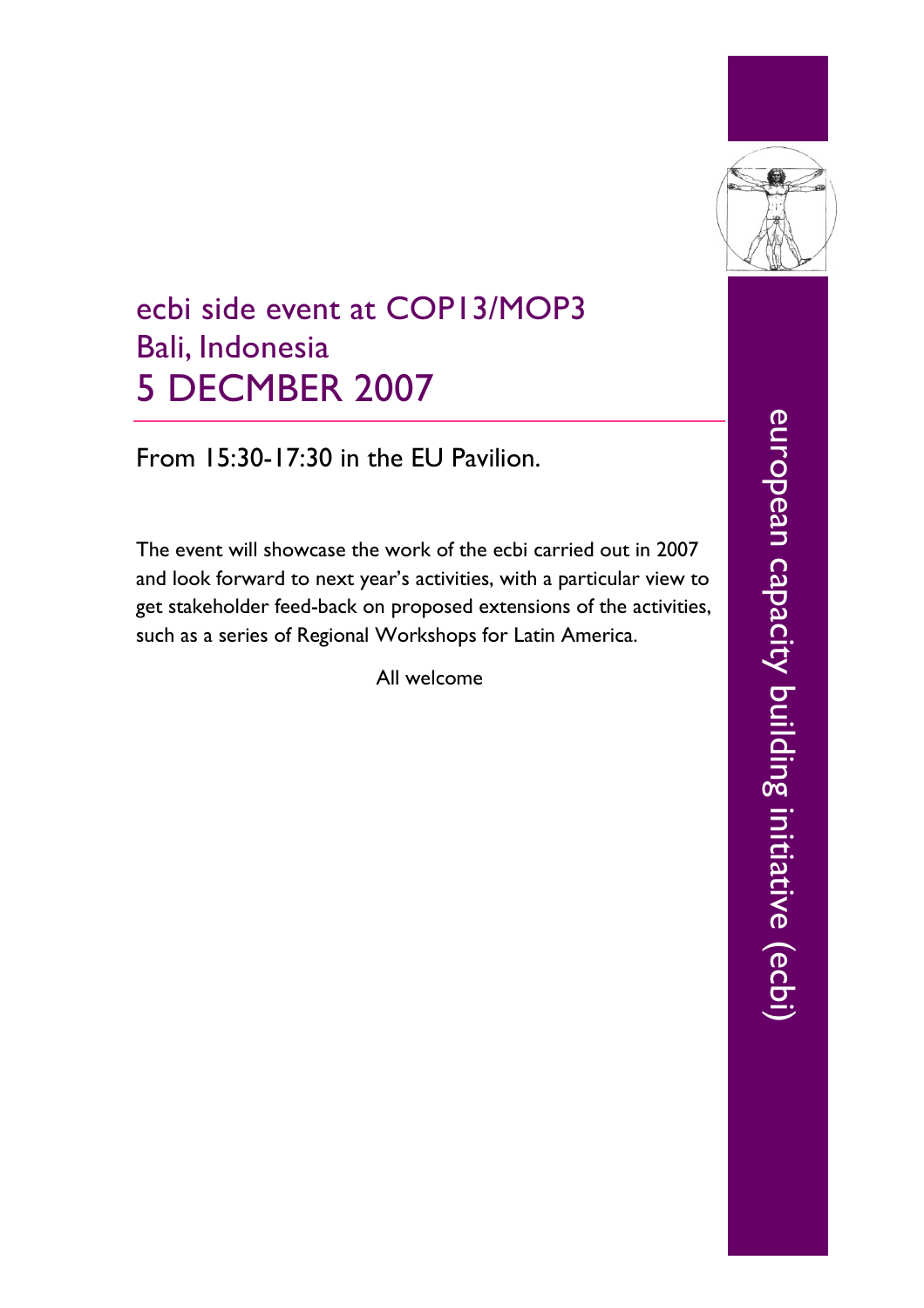

## ecbi side event at COP13/MOP3 Bali, Indonesia 5 DECMBER 2007

From 15:30-17:30 in the EU Pavilion.

The event will showcase the work of the ecbi carried out in 2007 and look forward to next year's activities, with a particular view to get stakeholder feed-back on proposed extensions of the activities, such as a series of Regional Workshops for Latin America.

All welcome